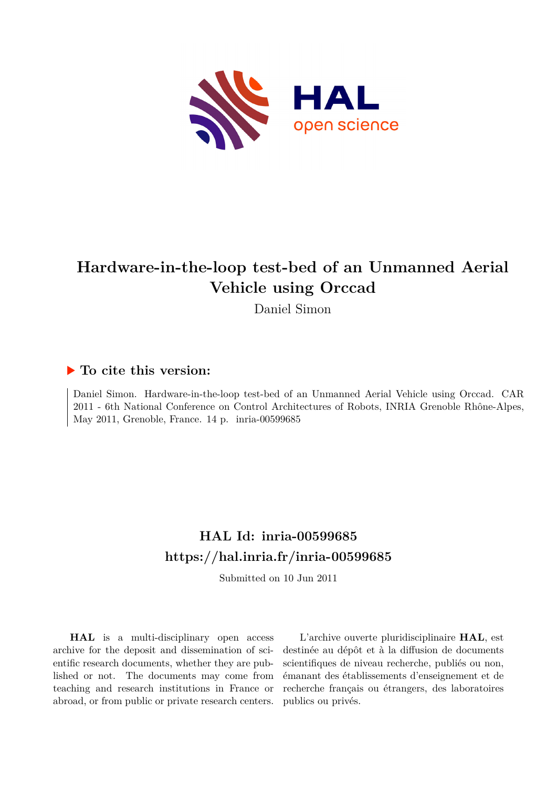

# **Hardware-in-the-loop test-bed of an Unmanned Aerial Vehicle using Orccad**

Daniel Simon

# **To cite this version:**

Daniel Simon. Hardware-in-the-loop test-bed of an Unmanned Aerial Vehicle using Orccad. CAR 2011 - 6th National Conference on Control Architectures of Robots, INRIA Grenoble Rhône-Alpes, May 2011, Grenoble, France. 14 p. inria-00599685

# **HAL Id: inria-00599685 <https://hal.inria.fr/inria-00599685>**

Submitted on 10 Jun 2011

**HAL** is a multi-disciplinary open access archive for the deposit and dissemination of scientific research documents, whether they are published or not. The documents may come from teaching and research institutions in France or abroad, or from public or private research centers.

L'archive ouverte pluridisciplinaire **HAL**, est destinée au dépôt et à la diffusion de documents scientifiques de niveau recherche, publiés ou non, émanant des établissements d'enseignement et de recherche français ou étrangers, des laboratoires publics ou privés.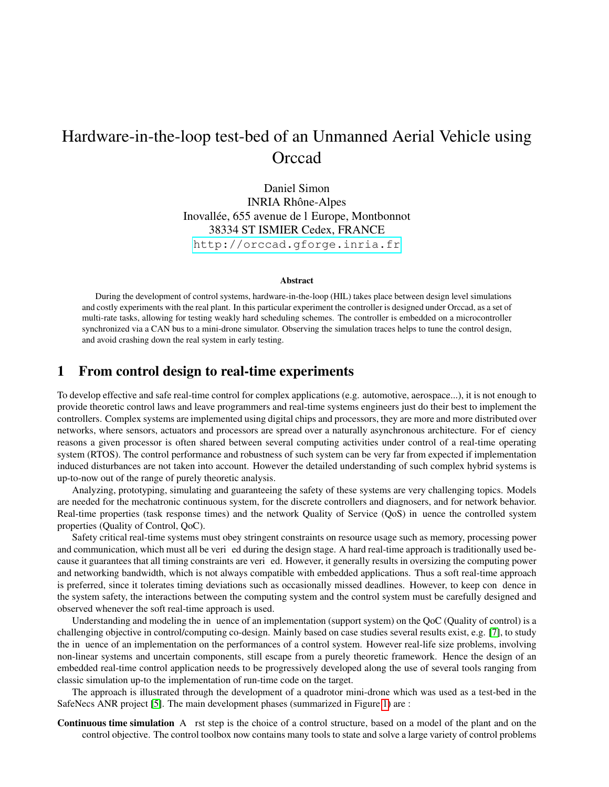# Hardware-in-the-loop test-bed of an Unmanned Aerial Vehicle using **Orccad**

Daniel Simon INRIA Rhône-Alpes Inovallée, 655 avenue de l'Europe, Montbonnot 38334 ST ISMIER Cedex, FRANCE <http://orccad.gforge.inria.fr>

#### Abstract

During the development of control systems, hardware-in-the-loop (HIL) takes place between design level simulations and costly experiments with the real plant. In this particular experiment the controller is designed under Orccad, as a set of multi-rate tasks, allowing for testing weakly hard scheduling schemes. The controller is embedded on a microcontroller synchronized via a CAN bus to a mini-drone simulator. Observing the simulation traces helps to tune the control design, and avoid crashing down the real system in early testing.

## 1 From control design to real-time experiments

To develop effective and safe real-time control for complex applications (e.g. automotive, aerospace...), it is not enough to provide theoretic control laws and leave programmers and real-time systems engineers just do their best to implement the controllers. Complex systems are implemented using digital chips and processors, they are more and more distributed over networks, where sensors, actuators and processors are spread over a naturally asynchronous architecture. For ef-ciency reasons a given processor is often shared between several computing activities under control of a real-time operating system (RTOS). The control performance and robustness of such system can be very far from expected if implementation induced disturbances are not taken into account. However the detailed understanding of such complex hybrid systems is up-to-now out of the range of purely theoretic analysis.

Analyzing, prototyping, simulating and guaranteeing the safety of these systems are very challenging topics. Models are needed for the mechatronic continuous system, for the discrete controllers and diagnosers, and for network behavior. Real-time properties (task response times) and the network Quality of Service (QoS) in uence the controlled system properties (Quality of Control, QoC).

Safety critical real-time systems must obey stringent constraints on resource usage such as memory, processing power and communication, which must all be veri- ed during the design stage. A hard real-time approach is traditionally used because it guarantees that all timing constraints are veri-ed. However, it generally results in oversizing the computing power and networking bandwidth, which is not always compatible with embedded applications. Thus a soft real-time approach is preferred, since it tolerates timing deviations such as occasionally missed deadlines. However, to keep con-dence in the system safety, the interactions between the computing system and the control system must be carefully designed and observed whenever the soft real-time approach is used.

Understanding and modeling the inuence of an implementation (support system) on the QoC (Quality of control) is a challenging objective in control/computing co-design. Mainly based on case studies several results exist, e.g. [7], to study the in uence of an implementation on the performances of a control system. However real-life size problems, involving non-linear systems and uncertain components, still escape from a purely theoretic framework. Hence the design of an embedded real-time control application needs to be progressively developed along the use of several tools ranging from classic simulation up-to the implementation of run-time code on the target.

The approach is illustrated through the development of a quadrotor mini-drone which was used as a test-bed in the SafeNecs ANR project [5]. The main development phases (summarized in Figure 1) are :

Continuous time simulation A rst step is the choice of a control structure, based on a model of the plant and on the control objective. The control toolbox now contains many tools to state and solve a large variety of control problems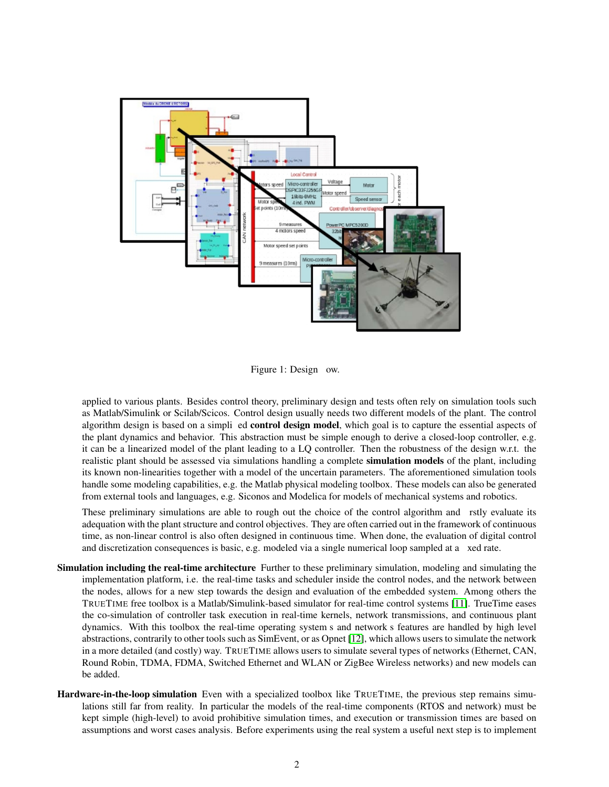

Figure 1: Design ow.

applied to various plants. Besides control theory, preliminary design and tests often rely on simulation tools such as Matlab/Simulink or Scilab/Scicos. Control design usually needs two different models of the plant. The control algorithm design is based on a simpli-ed **control design model**, which goal is to capture the essential aspects of the plant dynamics and behavior. This abstraction must be simple enough to derive a closed-loop controller, e.g. it can be a linearized model of the plant leading to a LQ controller. Then the robustness of the design w.r.t. the realistic plant should be assessed via simulations handling a complete **simulation models** of the plant, including its known non-linearities together with a model of the uncertain parameters. The aforementioned simulation tools handle some modeling capabilities, e.g. the Matlab physical modeling toolbox. These models can also be generated from external tools and languages, e.g. Siconos and Modelica for models of mechanical systems and robotics.

These preliminary simulations are able to rough out the choice of the control algorithm and rstly evaluate its adequation with the plant structure and control objectives. They are often carried out in the framework of continuous time, as non-linear control is also often designed in continuous time. When done, the evaluation of digital control and discretization consequences is basic, e.g. modeled via a single numerical loop sampled at a xed rate.

- Simulation including the real-time architecture Further to these preliminary simulation, modeling and simulating the implementation platform, i.e. the real-time tasks and scheduler inside the control nodes, and the network between the nodes, allows for a new step towards the design and evaluation of the embedded system. Among others the TRUETIME free toolbox is a Matlab/Simulink-based simulator for real-time control systems [11]. TrueTime eases the co-simulation of controller task execution in real-time kernels, network transmissions, and continuous plant dynamics. With this toolbox the real-time operating system's and network's features are handled by high level abstractions, contrarily to other tools such as SimEvent, or as Opnet [12], which allows users to simulate the network in a more detailed (and costly) way. TRUETIME allows users to simulate several types of networks (Ethernet, CAN, Round Robin, TDMA, FDMA, Switched Ethernet and WLAN or ZigBee Wireless networks) and new models can be added.
- Hardware-in-the-loop simulation Even with a specialized toolbox like TRUETIME, the previous step remains simulations still far from reality. In particular the models of the real-time components (RTOS and network) must be kept simple (high-level) to avoid prohibitive simulation times, and execution or transmission times are based on assumptions and worst cases analysis. Before experiments using the real system a useful next step is to implement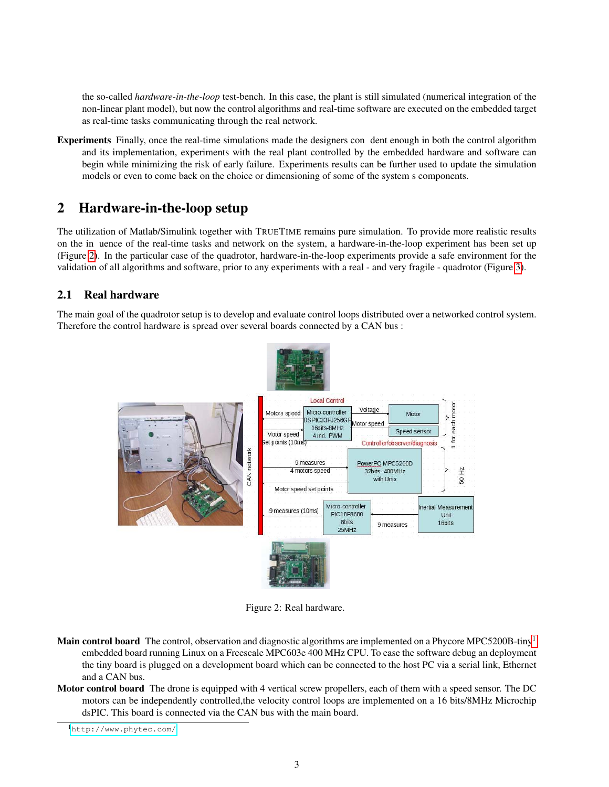the so-called *hardware-in-the-loop* test-bench. In this case, the plant is still simulated (numerical integration of the non-linear plant model), but now the control algorithms and real-time software are executed on the embedded target as real-time tasks communicating through the real network.

Experiments Finally, once the real-time simulations made the designers con dent enough in both the control algorithm and its implementation, experiments with the real plant controlled by the embedded hardware and software can begin while minimizing the risk of early failure. Experiments results can be further used to update the simulation models or even to come back on the choice or dimensioning of some of the system's components.

# 2 Hardware-in-the-loop setup

The utilization of Matlab/Simulink together with TRUETIME remains pure simulation. To provide more realistic results on the in uence of the real-time tasks and network on the system, a hardware-in-the-loop experiment has been set up (Figure 2). In the particular case of the quadrotor, hardware-in-the-loop experiments provide a safe environment for the validation of all algorithms and software, prior to any experiments with a real - and very fragile - quadrotor (Figure 3).

## 2.1 Real hardware

The main goal of the quadrotor setup is to develop and evaluate control loops distributed over a networked control system. Therefore the control hardware is spread over several boards connected by a CAN bus :



Figure 2: Real hardware.

- Main control board The control, observation and diagnostic algorithms are implemented on a Phycore MPC5200B-tiny<sup>1</sup> embedded board running Linux on a Freescale MPC603e 400 MHz CPU. To ease the software debug an deployment the tiny board is plugged on a development board which can be connected to the host PC via a serial link, Ethernet and a CAN bus.
- Motor control board The drone is equipped with 4 vertical screw propellers, each of them with a speed sensor. The DC motors can be independently controlled,the velocity control loops are implemented on a 16 bits/8MHz Microchip dsPIC. This board is connected via the CAN bus with the main board.

<sup>1</sup><http://www.phytec.com/>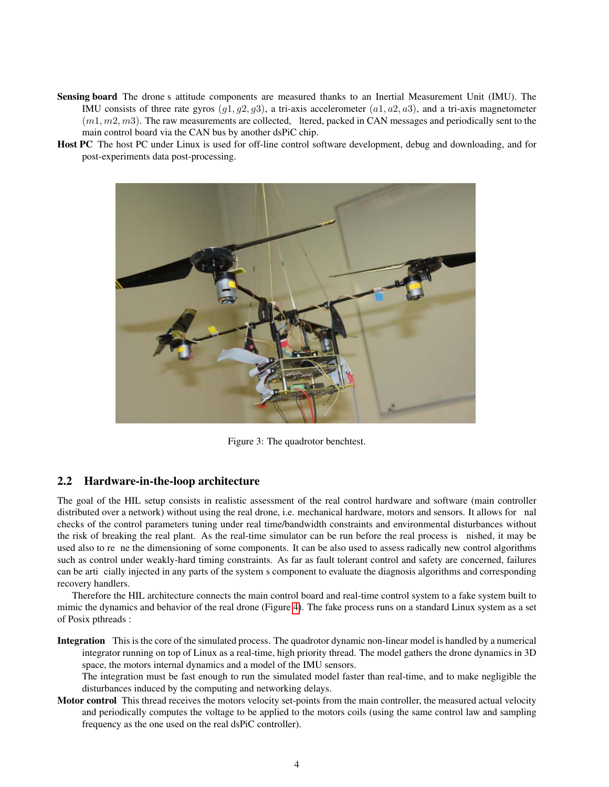- Sensing board The drone's attitude components are measured thanks to an Inertial Measurement Unit (IMU). The IMU consists of three rate gyros  $(q1, q2, q3)$ , a tri-axis accelerometer  $(a1, a2, a3)$ , and a tri-axis magnetometer  $(m1, m2, m3)$ . The raw measurements are collected, ltered, packed in CAN messages and periodically sent to the main control board via the CAN bus by another dsPiC chip.
- Host PC The host PC under Linux is used for off-line control software development, debug and downloading, and for post-experiments data post-processing.



Figure 3: The quadrotor benchtest.

## 2.2 Hardware-in-the-loop architecture

The goal of the HIL setup consists in realistic assessment of the real control hardware and software (main controller distributed over a network) without using the real drone, i.e. mechanical hardware, motors and sensors. It allows for - nal checks of the control parameters tuning under real time/bandwidth constraints and environmental disturbances without the risk of breaking the real plant. As the real-time simulator can be run before the real process is -nished, it may be used also to re-ne the dimensioning of some components. It can be also used to assess radically new control algorithms such as control under weakly-hard timing constraints. As far as fault tolerant control and safety are concerned, failures can be arti-cially injected in any parts of the system s component to evaluate the diagnosis algorithms and corresponding recovery handlers.

Therefore the HIL architecture connects the main control board and real-time control system to a fake system built to mimic the dynamics and behavior of the real drone (Figure 4). The fake process runs on a standard Linux system as a set of Posix pthreads :

Integration This is the core of the simulated process. The quadrotor dynamic non-linear model is handled by a numerical integrator running on top of Linux as a real-time, high priority thread. The model gathers the drone dynamics in 3D space, the motors internal dynamics and a model of the IMU sensors.

The integration must be fast enough to run the simulated model faster than real-time, and to make negligible the disturbances induced by the computing and networking delays.

Motor control This thread receives the motors velocity set-points from the main controller, the measured actual velocity and periodically computes the voltage to be applied to the motors coils (using the same control law and sampling frequency as the one used on the real dsPiC controller).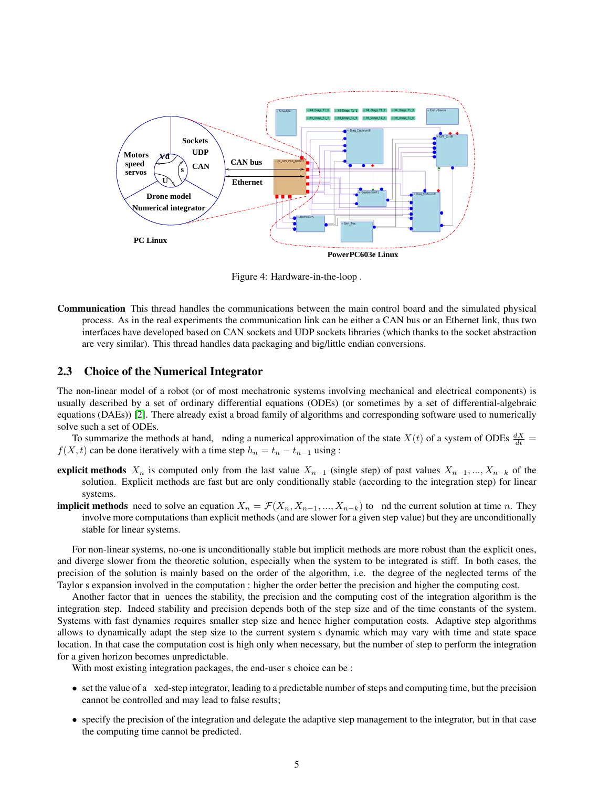

Figure 4: Hardware-in-the-loop .

Communication This thread handles the communications between the main control board and the simulated physical process. As in the real experiments the communication link can be either a CAN bus or an Ethernet link, thus two interfaces have developed based on CAN sockets and UDP sockets libraries (which thanks to the socket abstraction are very similar). This thread handles data packaging and big/little endian conversions.

## 2.3 Choice of the Numerical Integrator

The non-linear model of a robot (or of most mechatronic systems involving mechanical and electrical components) is usually described by a set of ordinary differential equations (ODEs) (or sometimes by a set of differential-algebraic equations (DAEs)) [2]. There already exist a broad family of algorithms and corresponding software used to numerically solve such a set of ODEs.

To summarize the methods at hand, nding a numerical approximation of the state  $X(t)$  of a system of ODEs  $\frac{dX}{dt}$  =  $f(X, t)$  can be done iteratively with a time step  $h_n = t_n - t_{n-1}$  using :

- explicit methods  $X_n$  is computed only from the last value  $X_{n-1}$  (single step) of past values  $X_{n-1}, ..., X_{n-k}$  of the solution. Explicit methods are fast but are only conditionally stable (according to the integration step) for linear systems.
- **implicit methods** need to solve an equation  $X_n = \mathcal{F}(X_n, X_{n-1}, ..., X_{n-k})$  to nd the current solution at time n. They involve more computations than explicit methods (and are slower for a given step value) but they are unconditionally stable for linear systems.

For non-linear systems, no-one is unconditionally stable but implicit methods are more robust than the explicit ones, and diverge slower from the theoretic solution, especially when the system to be integrated is stiff. In both cases, the precision of the solution is mainly based on the order of the algorithm, i.e. the degree of the neglected terms of the Taylor's expansion involved in the computation : higher the order better the precision and higher the computing cost.

Another factor that in uences the stability, the precision and the computing cost of the integration algorithm is the integration step. Indeed stability and precision depends both of the step size and of the time constants of the system. Systems with fast dynamics requires smaller step size and hence higher computation costs. Adaptive step algorithms allows to dynamically adapt the step size to the current system's dynamic which may vary with time and state space location. In that case the computation cost is high only when necessary, but the number of step to perform the integration for a given horizon becomes unpredictable.

With most existing integration packages, the end-user s choice can be :

- set the value of a xed-step integrator, leading to a predictable number of steps and computing time, but the precision cannot be controlled and may lead to false results;
- specify the precision of the integration and delegate the adaptive step management to the integrator, but in that case the computing time cannot be predicted.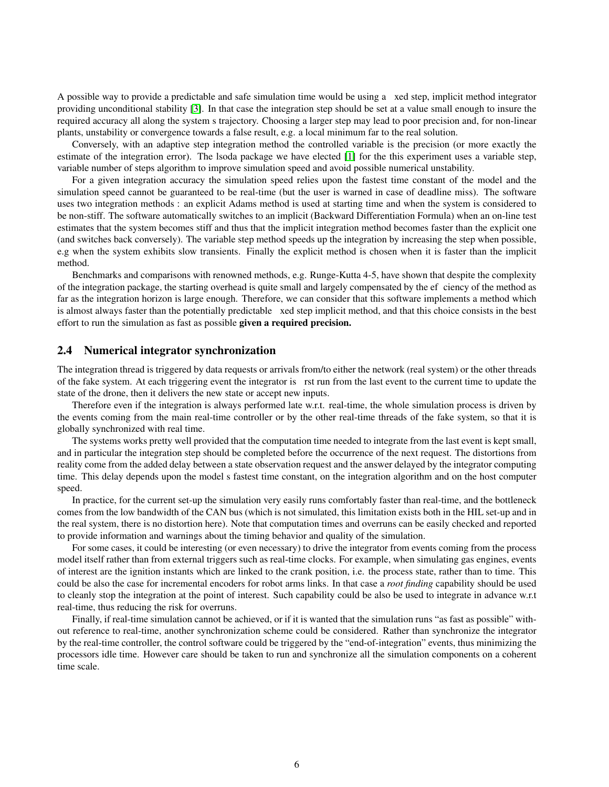A possible way to provide a predictable and safe simulation time would be using a -xed step, implicit method integrator providing unconditional stability [3]. In that case the integration step should be set at a value small enough to insure the required accuracy all along the system's trajectory. Choosing a larger step may lead to poor precision and, for non-linear plants, unstability or convergence towards a false result, e.g. a local minimum far to the real solution.

Conversely, with an adaptive step integration method the controlled variable is the precision (or more exactly the estimate of the integration error). The lsoda package we have elected [1] for the this experiment uses a variable step, variable number of steps algorithm to improve simulation speed and avoid possible numerical unstability.

For a given integration accuracy the simulation speed relies upon the fastest time constant of the model and the simulation speed cannot be guaranteed to be real-time (but the user is warned in case of deadline miss). The software uses two integration methods : an explicit Adams method is used at starting time and when the system is considered to be non-stiff. The software automatically switches to an implicit (Backward Differentiation Formula) when an on-line test estimates that the system becomes stiff and thus that the implicit integration method becomes faster than the explicit one (and switches back conversely). The variable step method speeds up the integration by increasing the step when possible, e.g when the system exhibits slow transients. Finally the explicit method is chosen when it is faster than the implicit method.

Benchmarks and comparisons with renowned methods, e.g. Runge-Kutta 4-5, have shown that despite the complexity of the integration package, the starting overhead is quite small and largely compensated by the ef-ciency of the method as far as the integration horizon is large enough. Therefore, we can consider that this software implements a method which is almost always faster than the potentially predictable xed step implicit method, and that this choice consists in the best effort to run the simulation as fast as possible given a required precision.

### 2.4 Numerical integrator synchronization

The integration thread is triggered by data requests or arrivals from/to either the network (real system) or the other threads of the fake system. At each triggering event the integrator is rst run from the last event to the current time to update the state of the drone, then it delivers the new state or accept new inputs.

Therefore even if the integration is always performed late w.r.t. real-time, the whole simulation process is driven by the events coming from the main real-time controller or by the other real-time threads of the fake system, so that it is globally synchronized with real time.

The systems works pretty well provided that the computation time needed to integrate from the last event is kept small, and in particular the integration step should be completed before the occurrence of the next request. The distortions from reality come from the added delay between a state observation request and the answer delayed by the integrator computing time. This delay depends upon the model's fastest time constant, on the integration algorithm and on the host computer speed.

In practice, for the current set-up the simulation very easily runs comfortably faster than real-time, and the bottleneck comes from the low bandwidth of the CAN bus (which is not simulated, this limitation exists both in the HIL set-up and in the real system, there is no distortion here). Note that computation times and overruns can be easily checked and reported to provide information and warnings about the timing behavior and quality of the simulation.

For some cases, it could be interesting (or even necessary) to drive the integrator from events coming from the process model itself rather than from external triggers such as real-time clocks. For example, when simulating gas engines, events of interest are the ignition instants which are linked to the crank position, i.e. the process state, rather than to time. This could be also the case for incremental encoders for robot arms links. In that case a *root finding* capability should be used to cleanly stop the integration at the point of interest. Such capability could be also be used to integrate in advance w.r.t real-time, thus reducing the risk for overruns.

Finally, if real-time simulation cannot be achieved, or if it is wanted that the simulation runs "as fast as possible" without reference to real-time, another synchronization scheme could be considered. Rather than synchronize the integrator by the real-time controller, the control software could be triggered by the "end-of-integration" events, thus minimizing the processors idle time. However care should be taken to run and synchronize all the simulation components on a coherent time scale.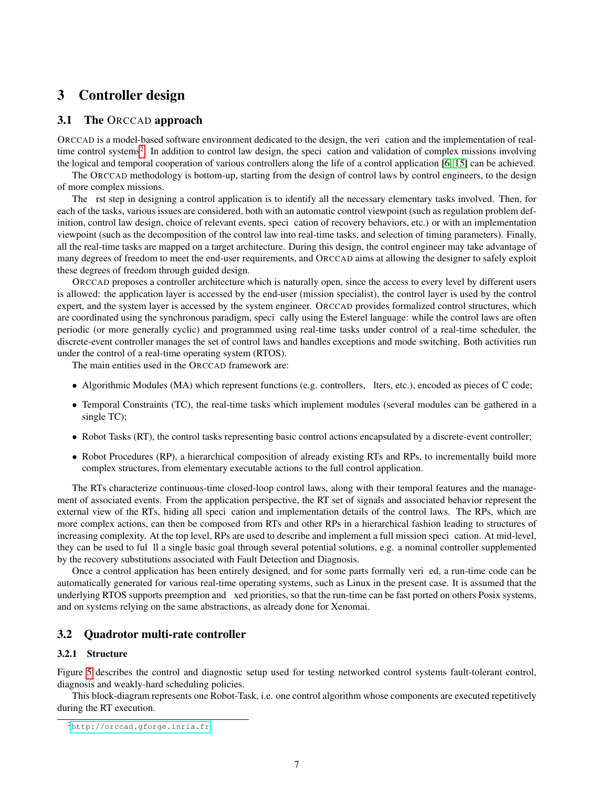# 3 Controller design

### 3.1 The ORCCAD approach

ORCCAD is a model-based software environment dedicated to the design, the veri-cation and the implementation of realtime control systems<sup>2</sup>. In addition to control law design, the speci-cation and validation of complex missions involving the logical and temporal cooperation of various controllers along the life of a control application [6, 15] can be achieved.

The ORCCAD methodology is bottom-up, starting from the design of control laws by control engineers, to the design of more complex missions.

The rst step in designing a control application is to identify all the necessary elementary tasks involved. Then, for each of the tasks, various issues are considered, both with an automatic control viewpoint (such as regulation problem definition, control law design, choice of relevant events, speci-cation of recovery behaviors, etc.) or with an implementation viewpoint (such as the decomposition of the control law into real-time tasks, and selection of timing parameters). Finally, all the real-time tasks are mapped on a target architecture. During this design, the control engineer may take advantage of many degrees of freedom to meet the end-user requirements, and ORCCAD aims at allowing the designer to safely exploit these degrees of freedom through guided design.

ORCCAD proposes a controller architecture which is naturally open, since the access to every level by different users is allowed: the application layer is accessed by the end-user (mission specialist), the control layer is used by the control expert, and the system layer is accessed by the system engineer. ORCCAD provides formalized control structures, which are coordinated using the synchronous paradigm, speci-cally using the Esterel language: while the control laws are often periodic (or more generally cyclic) and programmed using real-time tasks under control of a real-time scheduler, the discrete-event controller manages the set of control laws and handles exceptions and mode switching. Both activities run under the control of a real-time operating system (RTOS).

The main entities used in the ORCCAD framework are:

- Algorithmic Modules (MA) which represent functions (e.g. controllers, lters, etc.), encoded as pieces of C code;
- Temporal Constraints (TC), the real-time tasks which implement modules (several modules can be gathered in a single TC);
- Robot Tasks (RT), the control tasks representing basic control actions encapsulated by a discrete-event controller;
- Robot Procedures (RP), a hierarchical composition of already existing RTs and RPs, to incrementally build more complex structures, from elementary executable actions to the full control application.

The RTs characterize continuous-time closed-loop control laws, along with their temporal features and the management of associated events. From the application perspective, the RT set of signals and associated behavior represent the external view of the RTs, hiding all speci-cation and implementation details of the control laws. The RPs, which are more complex actions, can then be composed from RTs and other RPs in a hierarchical fashion leading to structures of increasing complexity. At the top level, RPs are used to describe and implement a full mission speci-cation. At mid-level, they can be used to ful-II a single basic goal through several potential solutions, e.g. a nominal controller supplemented by the recovery substitutions associated with Fault Detection and Diagnosis.

Once a control application has been entirely designed, and for some parts formally veri-ed, a run-time code can be automatically generated for various real-time operating systems, such as Linux in the present case. It is assumed that the underlying RTOS supports preemption and - xed priorities, so that the run-time can be fast ported on others Posix systems, and on systems relying on the same abstractions, as already done for Xenomai.

## 3.2 Quadrotor multi-rate controller

#### 3.2.1 Structure

Figure 5 describes the control and diagnostic setup used for testing networked control systems fault-tolerant control, diagnosis and weakly-hard scheduling policies.

This block-diagram represents one Robot-Task, i.e. one control algorithm whose components are executed repetitively during the RT execution.

<sup>2</sup><http://orccad.gforge.inria.fr>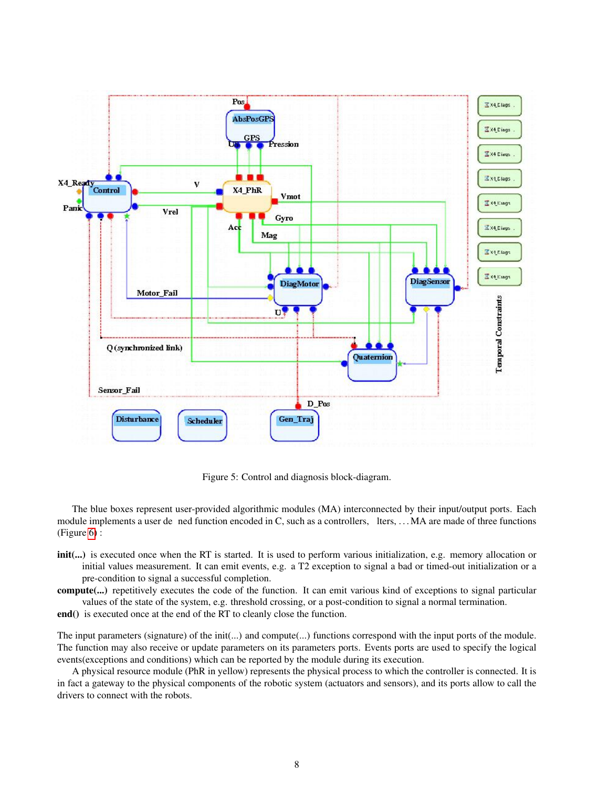

Figure 5: Control and diagnosis block-diagram.

The blue boxes represent user-provided algorithmic modules (MA) interconnected by their input/output ports. Each module implements a user de-ned function encoded in C, such as a controllers, lters, ... MA are made of three functions (Figure 6) :

- init(...) is executed once when the RT is started. It is used to perform various initialization, e.g. memory allocation or initial values measurement. It can emit events, e.g. a T2 exception to signal a bad or timed-out initialization or a pre-condition to signal a successful completion.
- compute(...) repetitively executes the code of the function. It can emit various kind of exceptions to signal particular values of the state of the system, e.g. threshold crossing, or a post-condition to signal a normal termination.
- end() is executed once at the end of the RT to cleanly close the function.

The input parameters (signature) of the init(...) and compute(...) functions correspond with the input ports of the module. The function may also receive or update parameters on its parameters ports. Events ports are used to specify the logical events(exceptions and conditions) which can be reported by the module during its execution.

A physical resource module (PhR in yellow) represents the physical process to which the controller is connected. It is in fact a gateway to the physical components of the robotic system (actuators and sensors), and its ports allow to call the drivers to connect with the robots.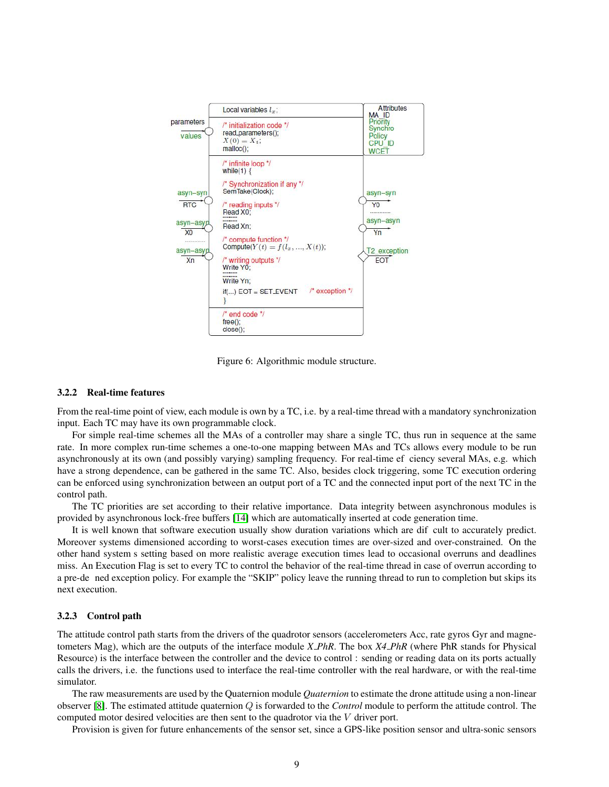

Figure 6: Algorithmic module structure.

#### 3.2.2 Real-time features

From the real-time point of view, each module is own by a TC, i.e. by a real-time thread with a mandatory synchronization input. Each TC may have its own programmable clock.

For simple real-time schemes all the MAs of a controller may share a single TC, thus run in sequence at the same rate. In more complex run-time schemes a one-to-one mapping between MAs and TCs allows every module to be run asynchronously at its own (and possibly varying) sampling frequency. For real-time ef ciency several MAs, e.g. which have a strong dependence, can be gathered in the same TC. Also, besides clock triggering, some TC execution ordering can be enforced using synchronization between an output port of a TC and the connected input port of the next TC in the control path.

The TC priorities are set according to their relative importance. Data integrity between asynchronous modules is provided by asynchronous lock-free buffers [14] which are automatically inserted at code generation time.

It is well known that software execution usually show duration variations which are dif-cult to accurately predict. Moreover systems dimensioned according to worst-cases execution times are over-sized and over-constrained. On the other hand system's setting based on more realistic average execution times lead to occasional overruns and deadlines miss. An Execution Flag is set to every TC to control the behavior of the real-time thread in case of overrun according to a pre-de ned exception policy. For example the "SKIP" policy leave the running thread to run to completion but skips its next execution.

#### 3.2.3 Control path

The attitude control path starts from the drivers of the quadrotor sensors (accelerometers Acc, rate gyros Gyr and magnetometers Mag), which are the outputs of the interface module *X PhR*. The box *X4 PhR* (where PhR stands for Physical Resource) is the interface between the controller and the device to control : sending or reading data on its ports actually calls the drivers, i.e. the functions used to interface the real-time controller with the real hardware, or with the real-time simulator.

The raw measurements are used by the Quaternion module *Quaternion* to estimate the drone attitude using a non-linear observer [8]. The estimated attitude quaternion Q is forwarded to the *Control* module to perform the attitude control. The computed motor desired velocities are then sent to the quadrotor via the V driver port.

Provision is given for future enhancements of the sensor set, since a GPS-like position sensor and ultra-sonic sensors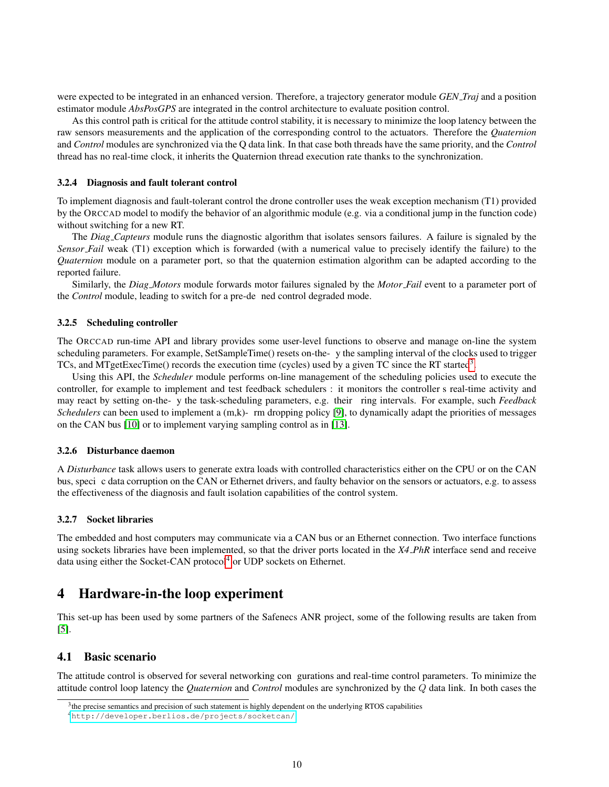were expected to be integrated in an enhanced version. Therefore, a trajectory generator module *GEN Traj* and a position estimator module *AbsPosGPS* are integrated in the control architecture to evaluate position control.

As this control path is critical for the attitude control stability, it is necessary to minimize the loop latency between the raw sensors measurements and the application of the corresponding control to the actuators. Therefore the *Quaternion* and *Control* modules are synchronized via the Q data link. In that case both threads have the same priority, and the *Control* thread has no real-time clock, it inherits the Quaternion thread execution rate thanks to the synchronization.

#### 3.2.4 Diagnosis and fault tolerant control

To implement diagnosis and fault-tolerant control the drone controller uses the weak exception mechanism (T1) provided by the ORCCAD model to modify the behavior of an algorithmic module (e.g. via a conditional jump in the function code) without switching for a new RT.

The *Diag Capteurs* module runs the diagnostic algorithm that isolates sensors failures. A failure is signaled by the *Sensor Fail* weak (T1) exception which is forwarded (with a numerical value to precisely identify the failure) to the *Quaternion* module on a parameter port, so that the quaternion estimation algorithm can be adapted according to the reported failure.

Similarly, the *Diag Motors* module forwards motor failures signaled by the *Motor Fail* event to a parameter port of the *Control* module, leading to switch for a pre-de ned control degraded mode.

#### 3.2.5 Scheduling controller

The ORCCAD run-time API and library provides some user-level functions to observe and manage on-line the system scheduling parameters. For example, SetSampleTime() resets on-the-y the sampling interval of the clocks used to trigger TCs, and MTgetExecTime() records the execution time (cycles) used by a given TC since the RT started<sup>3</sup>.

Using this API, the *Scheduler* module performs on-line management of the scheduling policies used to execute the controller, for example to implement and test feedback schedulers : it monitors the controller s real-time activity and may react by setting on-the-y the task-scheduling parameters, e.g. their -ring intervals. For example, such *Feedback* Schedulers can been used to implement a (m,k)- rm dropping policy [9], to dynamically adapt the priorities of messages on the CAN bus [10] or to implement varying sampling control as in [13].

#### 3.2.6 Disturbance daemon

A *Disturbance* task allows users to generate extra loads with controlled characteristics either on the CPU or on the CAN bus, speci-c data corruption on the CAN or Ethernet drivers, and faulty behavior on the sensors or actuators, e.g. to assess the effectiveness of the diagnosis and fault isolation capabilities of the control system.

#### 3.2.7 Socket libraries

The embedded and host computers may communicate via a CAN bus or an Ethernet connection. Two interface functions using sockets libraries have been implemented, so that the driver ports located in the *X4 PhR* interface send and receive data using either the Socket-CAN protocol<sup>4</sup> or UDP sockets on Ethernet.

# 4 Hardware-in-the loop experiment

This set-up has been used by some partners of the Safenecs ANR project, some of the following results are taken from [5].

### 4.1 Basic scenario

The attitude control is observed for several networking con-gurations and real-time control parameters. To minimize the attitude control loop latency the *Quaternion* and *Control* modules are synchronized by the Q data link. In both cases the

<sup>&</sup>lt;sup>3</sup>the precise semantics and precision of such statement is highly dependent on the underlying RTOS capabilities

<sup>4</sup><http://developer.berlios.de/projects/socketcan/>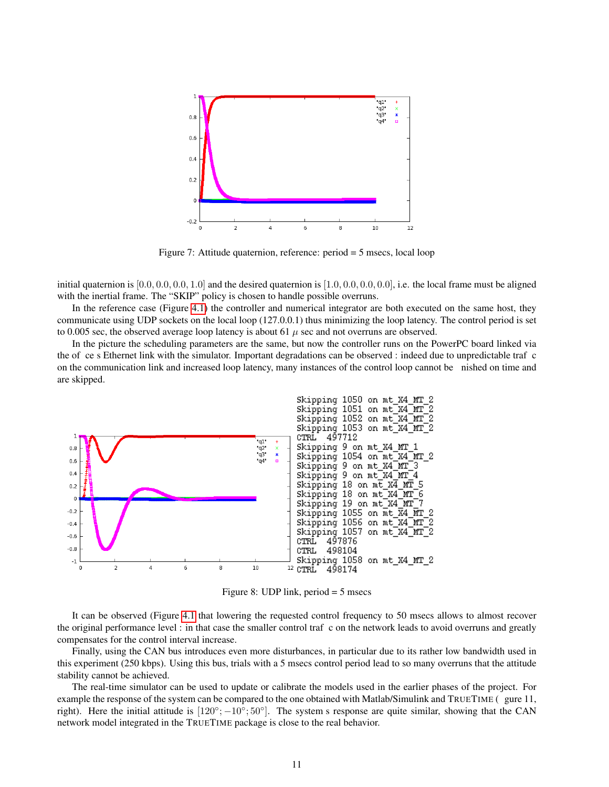

Figure 7: Attitude quaternion, reference: period = 5 msecs, local loop

initial quaternion is  $[0.0, 0.0, 0.0, 1.0]$  and the desired quaternion is  $[1.0, 0.0, 0.0, 0.0]$ , i.e. the local frame must be aligned with the inertial frame. The "SKIP" policy is chosen to handle possible overruns.

In the reference case (Figure 4.1) the controller and numerical integrator are both executed on the same host, they communicate using UDP sockets on the local loop (127.0.0.1) thus minimizing the loop latency. The control period is set to 0.005 sec, the observed average loop latency is about 61  $\mu$  sec and not overruns are observed.

In the picture the scheduling parameters are the same, but now the controller runs on the PowerPC board linked via the of ce s Ethernet link with the simulator. Important degradations can be observed : indeed due to unpredictable traf-c on the communication link and increased loop latency, many instances of the control loop cannot be -nished on time and are skipped.



Figure 8: UDP link, period = 5 msecs

It can be observed (Figure 4.1 that lowering the requested control frequency to 50 msecs allows to almost recover the original performance level : in that case the smaller control traf-c on the network leads to avoid overruns and greatly compensates for the control interval increase.

Finally, using the CAN bus introduces even more disturbances, in particular due to its rather low bandwidth used in this experiment (250 kbps). Using this bus, trials with a 5 msecs control period lead to so many overruns that the attitude stability cannot be achieved.

The real-time simulator can be used to update or calibrate the models used in the earlier phases of the project. For example the response of the system can be compared to the one obtained with Matlab/Simulink and TRUETIME (-gure 11, right). Here the initial attitude is  $[120^\circ; -10^\circ; 50^\circ]$ . The system s response are quite similar, showing that the CAN network model integrated in the TRUETIME package is close to the real behavior.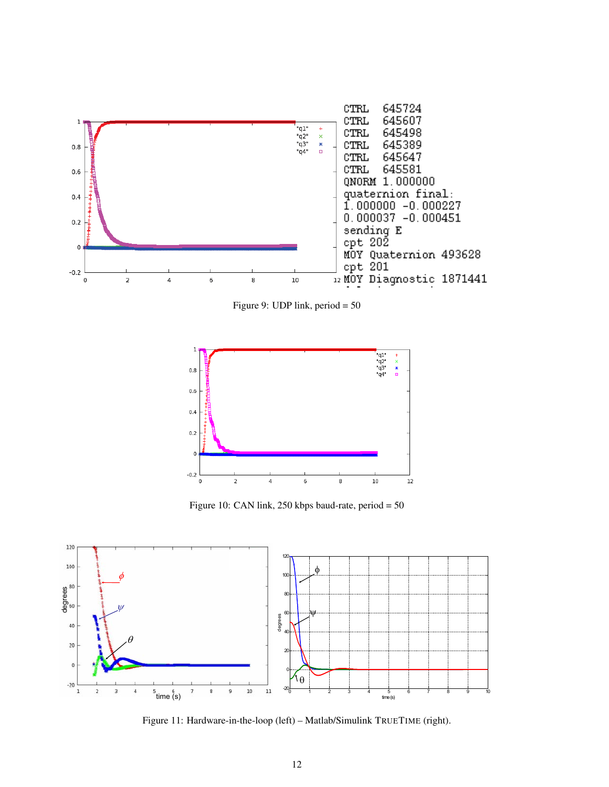

Figure 9: UDP link, period = 50



Figure 10: CAN link, 250 kbps baud-rate, period = 50



Figure 11: Hardware-in-the-loop (left) – Matlab/Simulink TRUETIME (right).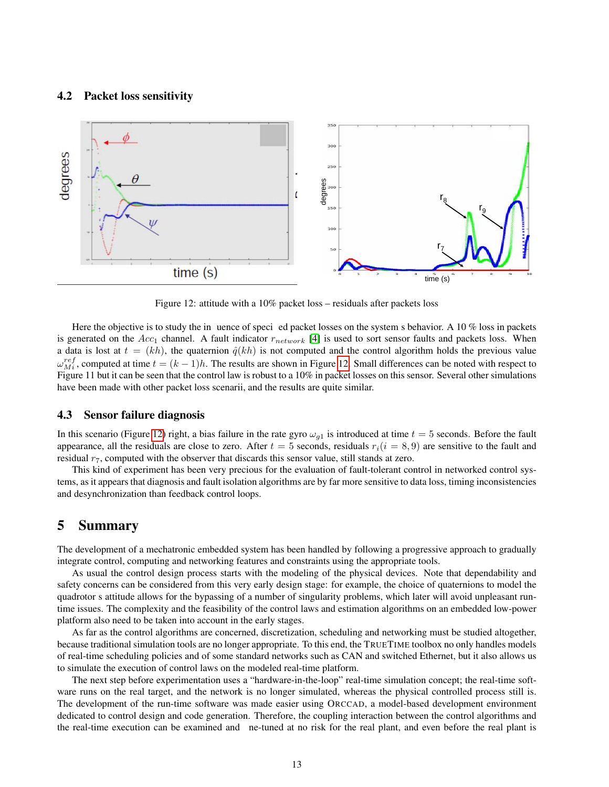#### 4.2 Packet loss sensitivity



Figure 12: attitude with a 10% packet loss – residuals after packets loss

Here the objective is to study the inuence of specied packet losses on the system s behavior. A 10 % loss in packets is generated on the  $Acc_1$  channel. A fault indicator  $r_{network}$  [4] is used to sort sensor faults and packets loss. When a data is lost at  $t = (kh)$ , the quaternion  $\hat{q}(kh)$  is not computed and the control algorithm holds the previous value  $\omega_{Mi}^{ref}$ , computed at time  $t = (k-1)h$ . The results are shown in Figure 12. Small differences can be noted with respect to Figure 11 but it can be seen that the control law is robust to a 10% in packet losses on this sensor. Several other simulations have been made with other packet loss scenarii, and the results are quite similar.

## 4.3 Sensor failure diagnosis

In this scenario (Figure 12) right, a bias failure in the rate gyro  $\omega_{q1}$  is introduced at time  $t = 5$  seconds. Before the fault appearance, all the residuals are close to zero. After  $t = 5$  seconds, residuals  $r_i(i = 8, 9)$  are sensitive to the fault and residual  $r<sub>7</sub>$ , computed with the observer that discards this sensor value, still stands at zero.

This kind of experiment has been very precious for the evaluation of fault-tolerant control in networked control systems, as it appears that diagnosis and fault isolation algorithms are by far more sensitive to data loss, timing inconsistencies and desynchronization than feedback control loops.

# 5 Summary

The development of a mechatronic embedded system has been handled by following a progressive approach to gradually integrate control, computing and networking features and constraints using the appropriate tools.

As usual the control design process starts with the modeling of the physical devices. Note that dependability and safety concerns can be considered from this very early design stage: for example, the choice of quaternions to model the quadrotor's attitude allows for the bypassing of a number of singularity problems, which later will avoid unpleasant runtime issues. The complexity and the feasibility of the control laws and estimation algorithms on an embedded low-power platform also need to be taken into account in the early stages.

As far as the control algorithms are concerned, discretization, scheduling and networking must be studied altogether, because traditional simulation tools are no longer appropriate. To this end, the TRUETIME toolbox no only handles models of real-time scheduling policies and of some standard networks such as CAN and switched Ethernet, but it also allows us to simulate the execution of control laws on the modeled real-time platform.

The next step before experimentation uses a "hardware-in-the-loop" real-time simulation concept; the real-time software runs on the real target, and the network is no longer simulated, whereas the physical controlled process still is. The development of the run-time software was made easier using ORCCAD, a model-based development environment dedicated to control design and code generation. Therefore, the coupling interaction between the control algorithms and the real-time execution can be examined and ne-tuned at no risk for the real plant, and even before the real plant is